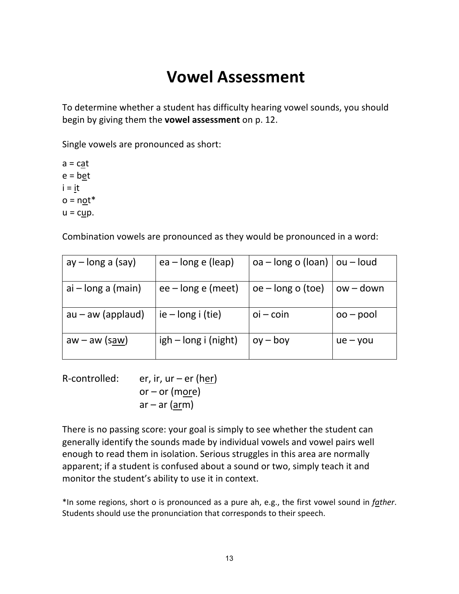## **Vowel Assessment**

To determine whether a student has difficulty hearing vowel sounds, you should begin by giving them the **vowel assessment** on p. 12.

Single vowels are pronounced as short:

 $a = cat$  $e = be$ t  $i = it$  $o = not*$  $u = c \underline{u} p$ .

Combination vowels are pronounced as they would be pronounced in a word:

| $ay - long a (say)$  | $ea - long e (leap)$ | oa – long o (loan)   ou – loud |             |
|----------------------|----------------------|--------------------------------|-------------|
| $ai - long a (main)$ | $ee$ – long e (meet) | $ $ oe – long o (toe)          | ow – down   |
| $au - aw$ (applaud)  | $ie - long i (tie)$  | $oi$ – coin                    | $00 - pool$ |
| $aw - aw$ (saw)      | igh – long i (night) | oy – boy                       | ue – you    |

R-controlled: er, ir,  $ur - er$  (her)  $or - or (more)$  $ar - ar (arm)$ 

There is no passing score: your goal is simply to see whether the student can generally identify the sounds made by individual vowels and vowel pairs well enough to read them in isolation. Serious struggles in this area are normally apparent; if a student is confused about a sound or two, simply teach it and monitor the student's ability to use it in context.

\*In some regions, short o is pronounced as a pure ah, e.g., the first vowel sound in *father*. Students should use the pronunciation that corresponds to their speech.